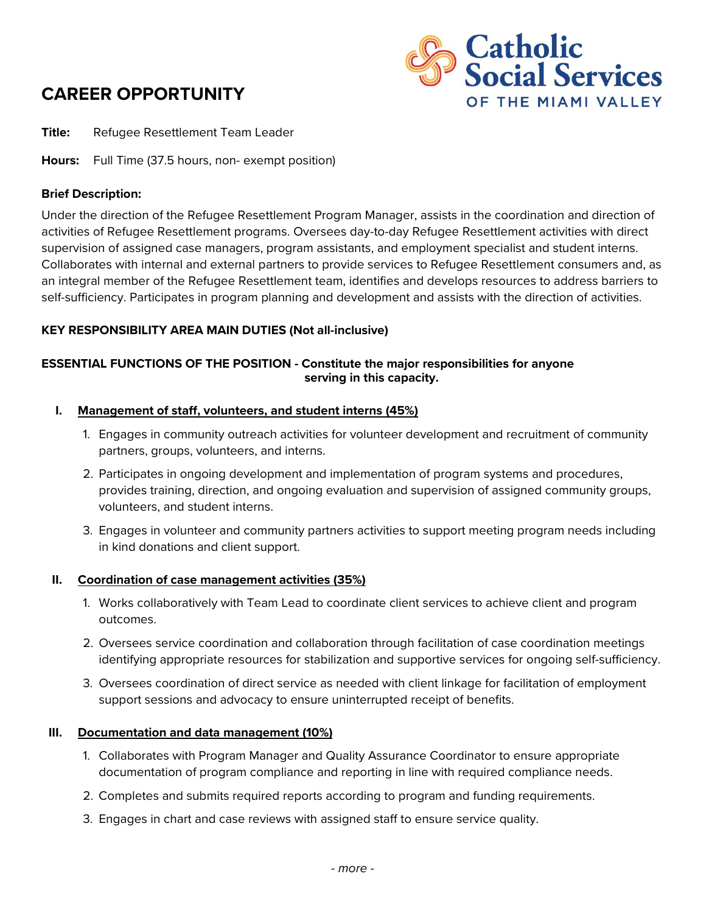# **CAREER OPPORTUNITY**



**Title:** Refugee Resettlement Team Leader

**Hours:** Full Time (37.5 hours, non- exempt position)

# **Brief Description:**

Under the direction of the Refugee Resettlement Program Manager, assists in the coordination and direction of activities of Refugee Resettlement programs. Oversees day-to-day Refugee Resettlement activities with direct supervision of assigned case managers, program assistants, and employment specialist and student interns. Collaborates with internal and external partners to provide services to Refugee Resettlement consumers and, as an integral member of the Refugee Resettlement team, identifies and develops resources to address barriers to self-sufficiency. Participates in program planning and development and assists with the direction of activities.

# **KEY RESPONSIBILITY AREA MAIN DUTIES (Not all-inclusive)**

# **ESSENTIAL FUNCTIONS OF THE POSITION - Constitute the major responsibilities for anyone serving in this capacity.**

#### **I. Management of staff, volunteers, and student interns (45%)**

- 1. Engages in community outreach activities for volunteer development and recruitment of community partners, groups, volunteers, and interns.
- 2. Participates in ongoing development and implementation of program systems and procedures, provides training, direction, and ongoing evaluation and supervision of assigned community groups, volunteers, and student interns.
- 3. Engages in volunteer and community partners activities to support meeting program needs including in kind donations and client support.

#### **II. Coordination of case management activities (35%)**

- 1. Works collaboratively with Team Lead to coordinate client services to achieve client and program outcomes.
- 2. Oversees service coordination and collaboration through facilitation of case coordination meetings identifying appropriate resources for stabilization and supportive services for ongoing self-sufficiency.
- 3. Oversees coordination of direct service as needed with client linkage for facilitation of employment support sessions and advocacy to ensure uninterrupted receipt of benefits.

#### **III. Documentation and data management (10%)**

- 1. Collaborates with Program Manager and Quality Assurance Coordinator to ensure appropriate documentation of program compliance and reporting in line with required compliance needs.
- 2. Completes and submits required reports according to program and funding requirements.
- 3. Engages in chart and case reviews with assigned staff to ensure service quality.